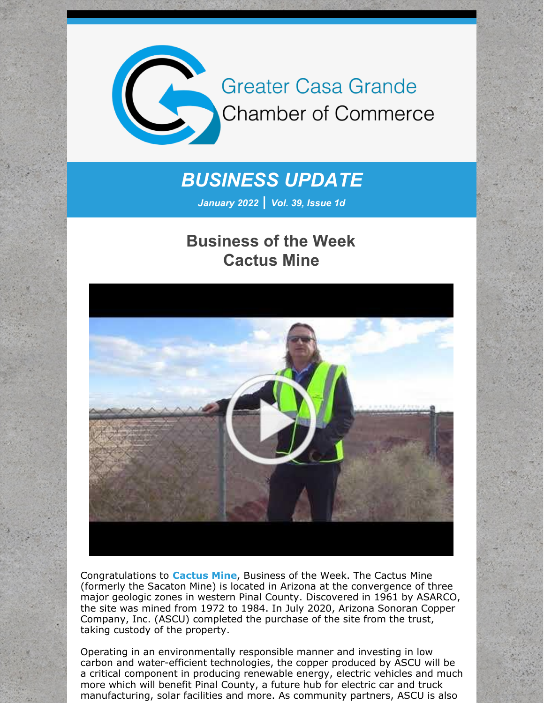

# *BUSINESS UPDATE*

*January 2022 | Vol. 39, Issue 1d*

## **Business of the Week Cactus Mine**



Congratulations to **[Cactus](http://www.cactusmine.com/) Mine**, Business of the Week. The Cactus Mine (formerly the Sacaton Mine) is located in Arizona at the convergence of three major geologic zones in western Pinal County. Discovered in 1961 by ASARCO, the site was mined from 1972 to 1984. In July 2020, Arizona Sonoran Copper Company, Inc. (ASCU) completed the purchase of the site from the trust, taking custody of the property.

Operating in an environmentally responsible manner and investing in low carbon and water-efficient technologies, the copper produced by ASCU will be a critical component in producing renewable energy, electric vehicles and much more which will benefit Pinal County, a future hub for electric car and truck manufacturing, solar facilities and more. As community partners, ASCU is also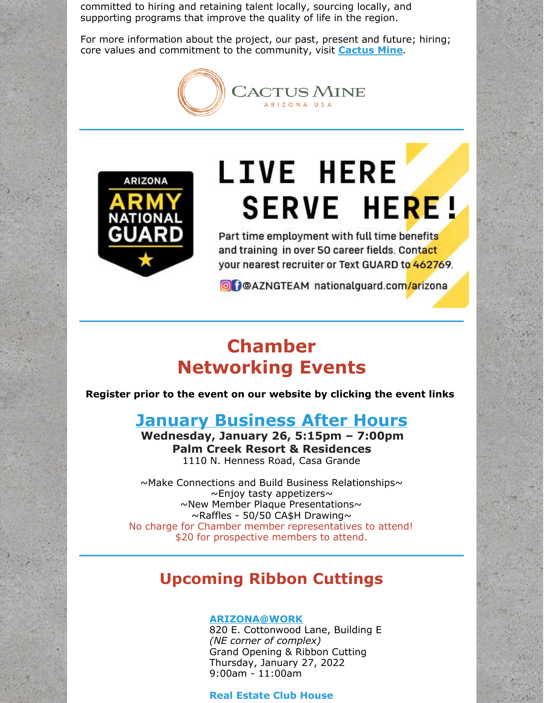committed to hiring and retaining talent locally, sourcing locally, and supporting programs that improve the quality of life in the region.

For more information about the project, our past, present and future; hiring; core values and commitment to the community, visit **[Cactus](http://www.cactusmine.com/) Mine**.





# **LIVE HERE SERVE HERE!**

Part time employment with full time benefits and training in over 50 career fields. Contact your nearest recruiter or Text GUARD to 462769.

O DOAZNGTEAM nationalguard.com/arizona

# **Chamber Networking Events**

**Register prior to the event on our website by clicking the event links**

# **January [Business](https://cca.casagrandechamber.org/EvtListing.aspx?dbid2=AZCAGR&evtid=28059&class=E) After Hours**

**Wednesday, January 26, 5:15pm – 7:00pm Palm Creek Resort & Residences** 1110 N. Henness Road, Casa Grande

 $\sim$ Make Connections and Build Business Relationships $\sim$  $\sim$ Enjoy tasty appetizers $\sim$ ~New Member Plaque Presentations~  $\sim$ Raffles - 50/50 CA\$H Drawing $\sim$ No charge for Chamber member representatives to attend! \$20 for prospective members to attend.

# **Upcoming Ribbon Cuttings**

#### **[ARIZONA@WORK](http://arizonaatwork.com/locations/pinal-county)**

820 E. Cottonwood Lane, Building E *(NE corner of complex)* Grand Opening & Ribbon Cutting Thursday, January 27, 2022  $9:00$ am - 11:00am

#### **Real Estate Club House**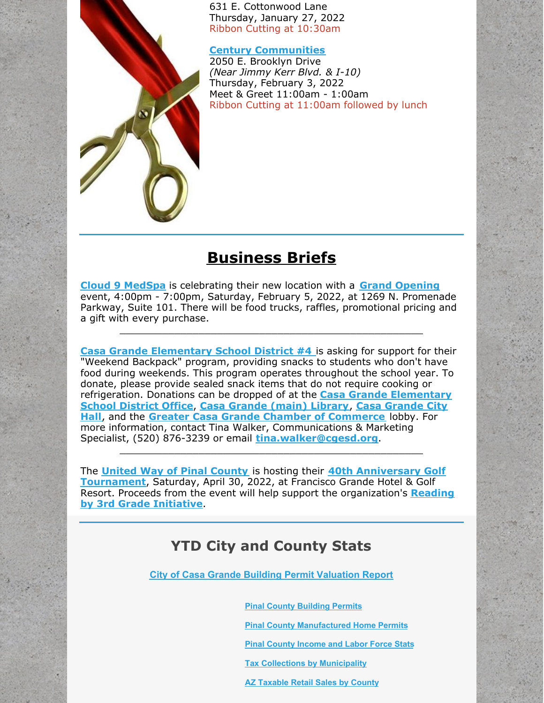631 E. Cottonwood Lane Thursday, January 27, 2022 Ribbon Cutting at 10:30am

#### **Century [Communities](https://www.centurycommunities.com/find-your-home/arizona/phoenix-metro/casa-grande/palms-at-casa-vista)**

2050 E. Brooklyn Drive *(Near Jimmy Kerr Blvd. & I-10)* Thursday, February 3, 2022 Meet & Greet 11:00am - 1:00am Ribbon Cutting at 11:00am followed by lunch

## **Business Briefs**

**Cloud 9 [MedSpa](http://www.cloud9medspaaz.com)** is celebrating their new location with a **Grand [Opening](https://files.constantcontact.com/8c5f2f7b701/5a7b737e-0b38-4fd7-926c-c77a21e9768d.pdf)** event, 4:00pm - 7:00pm, Saturday, February 5, 2022, at 1269 N. Promenade Parkway, Suite 101. There will be food trucks, raffles, promotional pricing and a gift with every purchase.

\_\_\_\_\_\_\_\_\_\_\_\_\_\_\_\_\_\_\_\_\_\_\_\_\_\_\_\_\_\_\_\_\_\_\_\_\_\_\_\_\_\_\_\_\_\_\_\_\_\_

**Casa Grande [Elementary](https://r20.rs6.net/tn.jsp?f=001TDz1BazvR28aJ1CqIKn0_JJyvmz1trc4WhkvODiZwmi4GlnxErRt-PwhO7HLLcIv_SM-P2iAoQJlF1Kj67yGSs1UJuX31daj6PgUVari_uUH9IztE19f3j_MiqZcVqj-BqrQ3UoQyCc=&c=&ch=) School District #4** is asking for support for their "Weekend Backpack" program, providing snacks to students who don't have food during weekends. This program operates throughout the school year. To donate, please provide sealed snack items that do not require cooking or [refrigeration.](https://www.cgesd.org/) Donations can be dropped of at the **Casa Grande Elementary School District Office**, **Casa [Grande](https://casagrandeaz.gov/library/) (main) Library**, **Casa Grande City Hall**, and the **Greater Casa Grande Chamber of [Commerce](https://casagrandeaz.gov/)** lobby. For more information, contact Tina Walker, Communications & Marketing Specialist, (520) 876-3239 or email **[tina.walker@cgesd.org](mailto:tina.walker@cgesd.org)**.

The **United Way of Pinal [County](http://www.unitedwayofpc.org)** is hosting their **40th [Anniversary](https://files.constantcontact.com/8c5f2f7b701/0aeb7096-0fae-43c0-9041-d3135d6438b3.pdf) Golf Tournament**, Saturday, April 30, 2022, at Francisco Grande Hotel & Golf Resort. Proceeds from the event will help support the [organization's](https://files.constantcontact.com/8c5f2f7b701/470c6350-1dca-45bf-9145-f5d292945d83.docx) **Reading by 3rd Grade Initiative**.

\_\_\_\_\_\_\_\_\_\_\_\_\_\_\_\_\_\_\_\_\_\_\_\_\_\_\_\_\_\_\_\_\_\_\_\_\_\_\_\_\_\_\_\_\_\_\_\_\_\_

### **YTD City and County Stats**

**City of Casa Grande Building Permit [Valuation](https://files.constantcontact.com/8c5f2f7b701/02c11d89-1938-4ebb-9dd7-54095b630c2b.pdf) Report**

**Pinal County [Building](https://files.constantcontact.com/8c5f2f7b701/7695951e-3277-41f5-ab09-9001ce4c800d.pdf) Permits**

**Pinal County [Manufactured](https://files.constantcontact.com/8c5f2f7b701/5f9cdd65-a26c-46d0-9e1b-e85465bc3148.pdf) Home Permits**

**Pinal County [Income](https://www.azeconomy.org/data/pinal-county/) and Labor Force Stats**

**Tax Collections by [Municipality](https://files.constantcontact.com/8c5f2f7b701/88f4311d-ac32-4764-ba14-fdd0e2c6300f.pdf)**

**AZ [Taxable](https://files.constantcontact.com/8c5f2f7b701/e934df04-c884-4ca8-b3e9-2b7e461a9ba4.pdf) Retail Sales by County**